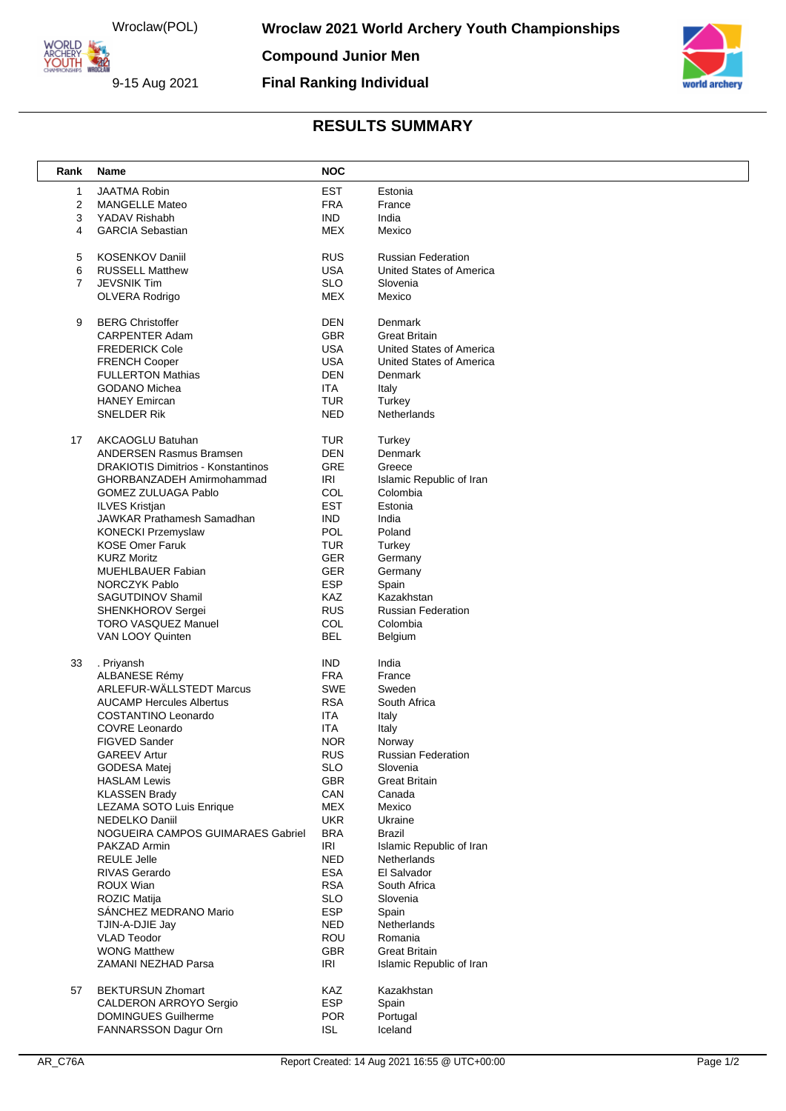Wroclaw(POL)<br>
MORLD<br>
MOLITH<br>
YOUTH WRACHERY

9-15 Aug 2021

**Compound Junior Men**

**Final Ranking Individual**



## **RESULTS SUMMARY**

| Rank           | Name                                             | <b>NOC</b>               |                           |
|----------------|--------------------------------------------------|--------------------------|---------------------------|
| 1              | <b>JAATMA Robin</b>                              | <b>EST</b>               | Estonia                   |
| $\overline{2}$ | <b>MANGELLE Mateo</b>                            | <b>FRA</b>               | France                    |
| 3              | YADAV Rishabh                                    | <b>IND</b>               | India                     |
| 4              | <b>GARCIA Sebastian</b>                          | MEX                      | Mexico                    |
|                |                                                  |                          |                           |
| 5              | <b>KOSENKOV Daniil</b>                           | <b>RUS</b>               | <b>Russian Federation</b> |
| 6              | <b>RUSSELL Matthew</b>                           | <b>USA</b>               | United States of America  |
| $\overline{7}$ | <b>JEVSNIK Tim</b>                               | <b>SLO</b>               | Slovenia                  |
|                | OLVERA Rodrigo                                   | <b>MEX</b>               | Mexico                    |
|                | <b>BERG Christoffer</b>                          | <b>DEN</b>               | Denmark                   |
| 9              | <b>CARPENTER Adam</b>                            | <b>GBR</b>               | <b>Great Britain</b>      |
|                | <b>FREDERICK Cole</b>                            | <b>USA</b>               | United States of America  |
|                | <b>FRENCH Cooper</b>                             | <b>USA</b>               | United States of America  |
|                | <b>FULLERTON Mathias</b>                         | <b>DEN</b>               | Denmark                   |
|                | GODANO Michea                                    | <b>ITA</b>               | Italy                     |
|                | <b>HANEY Emircan</b>                             | <b>TUR</b>               | Turkey                    |
|                | SNELDER Rik                                      | <b>NED</b>               | Netherlands               |
|                |                                                  |                          |                           |
| 17             | AKCAOGLU Batuhan                                 | <b>TUR</b>               | Turkey                    |
|                | <b>ANDERSEN Rasmus Bramsen</b>                   | <b>DEN</b>               | Denmark                   |
|                | <b>DRAKIOTIS Dimitrios - Konstantinos</b>        | GRE                      | Greece                    |
|                | GHORBANZADEH Amirmohammad                        | <b>IRI</b>               | Islamic Republic of Iran  |
|                | <b>GOMEZ ZULUAGA Pablo</b>                       | COL                      | Colombia                  |
|                | <b>ILVES Kristjan</b>                            | <b>EST</b>               | Estonia                   |
|                | JAWKAR Prathamesh Samadhan                       | <b>IND</b>               | India                     |
|                | KONECKI Przemyslaw                               | POL                      | Poland                    |
|                | <b>KOSE Omer Faruk</b>                           | <b>TUR</b>               | Turkey                    |
|                | <b>KURZ Moritz</b>                               | GER                      | Germany                   |
|                | MUEHLBAUER Fabian                                | <b>GER</b>               | Germany                   |
|                | <b>NORCZYK Pablo</b>                             | ESP<br>KAZ               | Spain<br>Kazakhstan       |
|                | SAGUTDINOV Shamil<br>SHENKHOROV Sergei           | <b>RUS</b>               | <b>Russian Federation</b> |
|                | <b>TORO VASQUEZ Manuel</b>                       | COL                      | Colombia                  |
|                | VAN LOOY Quinten                                 | <b>BEL</b>               | Belgium                   |
|                |                                                  |                          |                           |
| 33             | . Priyansh                                       | <b>IND</b>               | India                     |
|                | ALBANESE Rémy                                    | <b>FRA</b>               | France                    |
|                | <b>ARLEFUR-WÄLLSTEDT Marcus</b>                  | SWE                      | Sweden                    |
|                | <b>AUCAMP Hercules Albertus</b>                  | <b>RSA</b>               | South Africa              |
|                | COSTANTINO Leonardo                              | <b>ITA</b>               | Italy                     |
|                | COVRE Leonardo                                   | <b>ITA</b>               | Italy                     |
|                | <b>FIGVED Sander</b>                             | <b>NOR</b>               | Norway                    |
|                | <b>GAREEV Artur</b>                              | <b>RUS</b>               | <b>Russian Federation</b> |
|                | <b>GODESA Matej</b>                              | <b>SLO</b><br><b>GBR</b> | Slovenia                  |
|                | <b>HASLAM Lewis</b>                              | CAN                      | <b>Great Britain</b>      |
|                | <b>KLASSEN Brady</b><br>LEZAMA SOTO Luis Enrique | <b>MEX</b>               | Canada<br>Mexico          |
|                | <b>NEDELKO Daniil</b>                            | <b>UKR</b>               | Ukraine                   |
|                | NOGUEIRA CAMPOS GUIMARAES Gabriel                | <b>BRA</b>               | Brazil                    |
|                | PAKZAD Armin                                     | <b>IRI</b>               | Islamic Republic of Iran  |
|                | <b>REULE Jelle</b>                               | <b>NED</b>               | Netherlands               |
|                | <b>RIVAS Gerardo</b>                             | ESA                      | El Salvador               |
|                | ROUX Wian                                        | <b>RSA</b>               | South Africa              |
|                | ROZIC Matija                                     | <b>SLO</b>               | Slovenia                  |
|                | SÁNCHEZ MEDRANO Mario                            | <b>ESP</b>               | Spain                     |
|                | TJIN-A-DJIE Jay                                  | <b>NED</b>               | Netherlands               |
|                | <b>VLAD Teodor</b>                               | ROU                      | Romania                   |
|                | <b>WONG Matthew</b>                              | <b>GBR</b>               | <b>Great Britain</b>      |
|                | ZAMANI NEZHAD Parsa                              | <b>IRI</b>               | Islamic Republic of Iran  |
|                |                                                  |                          |                           |
| 57             | <b>BEKTURSUN Zhomart</b>                         | KAZ                      | Kazakhstan                |
|                | CALDERON ARROYO Sergio                           | <b>ESP</b>               | Spain                     |
|                | <b>DOMINGUES Guilherme</b>                       | <b>POR</b>               | Portugal                  |
|                | FANNARSSON Dagur Orn                             | <b>ISL</b>               | Iceland                   |